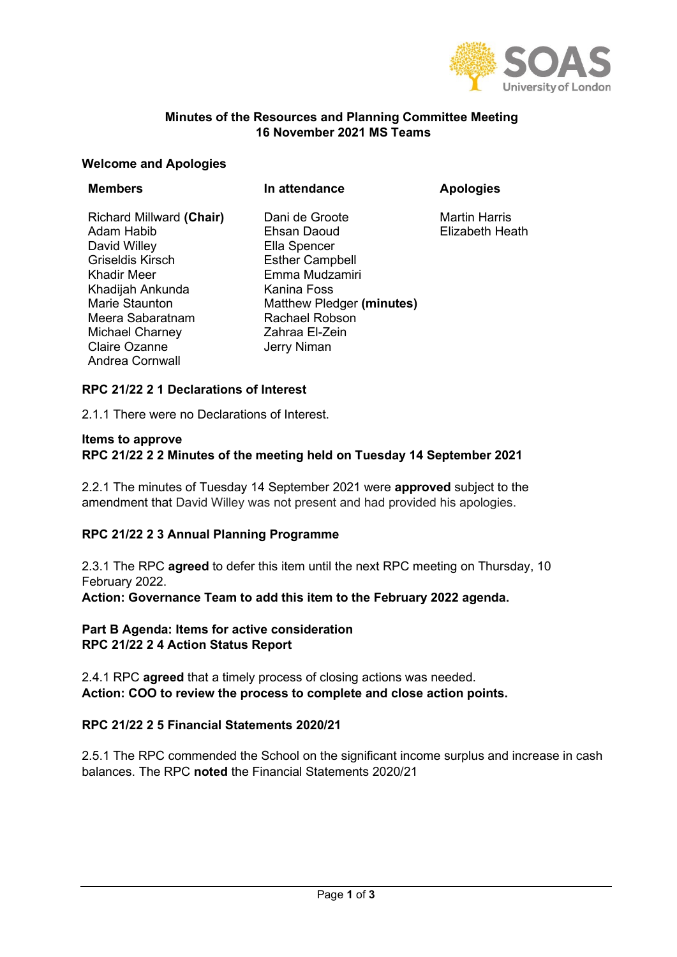

Heath

## **Minutes of the Resources and Planning Committee Meeting 16 November 2021 MS Teams**

#### **Welcome and Apologies**

| <b>Members</b>                                                                                                                                                                       | In attendance                                                                                                                                                             | <b>Apologies</b>                             |
|--------------------------------------------------------------------------------------------------------------------------------------------------------------------------------------|---------------------------------------------------------------------------------------------------------------------------------------------------------------------------|----------------------------------------------|
| Richard Millward (Chair)<br>Adam Habib<br>David Willey<br><b>Griseldis Kirsch</b><br>Khadir Meer<br>Khadijah Ankunda<br>Marie Staunton<br>Meera Sabaratnam<br><b>Michael Charney</b> | Dani de Groote<br>Ehsan Daoud<br>Ella Spencer<br><b>Esther Campbell</b><br>Emma Mudzamiri<br>Kanina Foss<br>Matthew Pledger (minutes)<br>Rachael Robson<br>Zahraa El-Zein | <b>Martin Harris</b><br><b>Elizabeth Hea</b> |
| <b>Claire Ozanne</b><br>Andrea Cornwall                                                                                                                                              | Jerry Niman                                                                                                                                                               |                                              |

### **RPC 21/22 2 1 Declarations of Interest**

2.1.1 There were no Declarations of Interest.

#### **Items to approve RPC 21/22 2 2 Minutes of the meeting held on Tuesday 14 September 2021**

2.2.1 The minutes of Tuesday 14 September 2021 were **approved** subject to the amendment that David Willey was not present and had provided his apologies.

### **RPC 21/22 2 3 Annual Planning Programme**

2.3.1 The RPC **agreed** to defer this item until the next RPC meeting on Thursday, 10 February 2022.

**Action: Governance Team to add this item to the February 2022 agenda.** 

### **Part B Agenda: Items for active consideration RPC 21/22 2 4 Action Status Report**

2.4.1 RPC **agreed** that a timely process of closing actions was needed. **Action: COO to review the process to complete and close action points.**

### **RPC 21/22 2 5 Financial Statements 2020/21**

2.5.1 The RPC commended the School on the significant income surplus and increase in cash balances. The RPC **noted** the Financial Statements 2020/21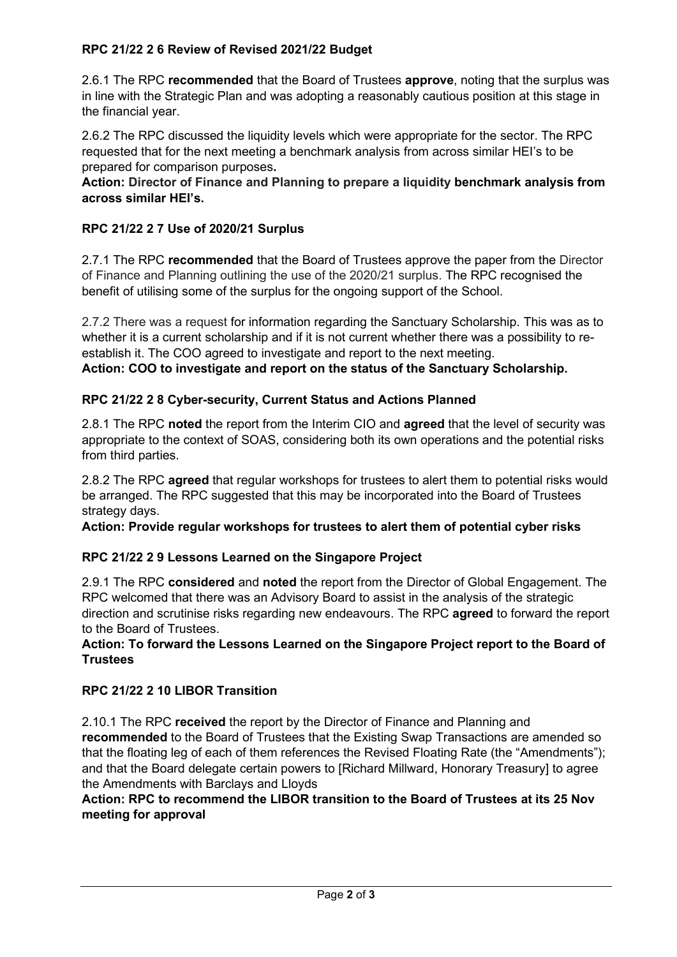## **RPC 21/22 2 6 Review of Revised 2021/22 Budget**

2.6.1 The RPC **recommended** that the Board of Trustees **approve**, noting that the surplus was in line with the Strategic Plan and was adopting a reasonably cautious position at this stage in the financial year.

2.6.2 The RPC discussed the liquidity levels which were appropriate for the sector. The RPC requested that for the next meeting a benchmark analysis from across similar HEI's to be prepared for comparison purposes**.**

**Action: Director of Finance and Planning to prepare a liquidity benchmark analysis from across similar HEI's.** 

## **RPC 21/22 2 7 Use of 2020/21 Surplus**

2.7.1 The RPC **recommended** that the Board of Trustees approve the paper from the Director of Finance and Planning outlining the use of the 2020/21 surplus. The RPC recognised the benefit of utilising some of the surplus for the ongoing support of the School.

2.7.2 There was a request for information regarding the Sanctuary Scholarship. This was as to whether it is a current scholarship and if it is not current whether there was a possibility to reestablish it. The COO agreed to investigate and report to the next meeting. **Action: COO to investigate and report on the status of the Sanctuary Scholarship.**

## **RPC 21/22 2 8 Cyber-security, Current Status and Actions Planned**

2.8.1 The RPC **noted** the report from the Interim CIO and **agreed** that the level of security was appropriate to the context of SOAS, considering both its own operations and the potential risks from third parties.

2.8.2 The RPC **agreed** that regular workshops for trustees to alert them to potential risks would be arranged. The RPC suggested that this may be incorporated into the Board of Trustees strategy days.

**Action: Provide regular workshops for trustees to alert them of potential cyber risks**

## **RPC 21/22 2 9 Lessons Learned on the Singapore Project**

2.9.1 The RPC **considered** and **noted** the report from the Director of Global Engagement. The RPC welcomed that there was an Advisory Board to assist in the analysis of the strategic direction and scrutinise risks regarding new endeavours. The RPC **agreed** to forward the report to the Board of Trustees.

**Action: To forward the Lessons Learned on the Singapore Project report to the Board of Trustees**

## **RPC 21/22 2 10 LIBOR Transition**

2.10.1 The RPC **received** the report by the Director of Finance and Planning and **recommended** to the Board of Trustees that the Existing Swap Transactions are amended so that the floating leg of each of them references the Revised Floating Rate (the "Amendments"); and that the Board delegate certain powers to [Richard Millward, Honorary Treasury] to agree the Amendments with Barclays and Lloyds

### **Action: RPC to recommend the LIBOR transition to the Board of Trustees at its 25 Nov meeting for approval**